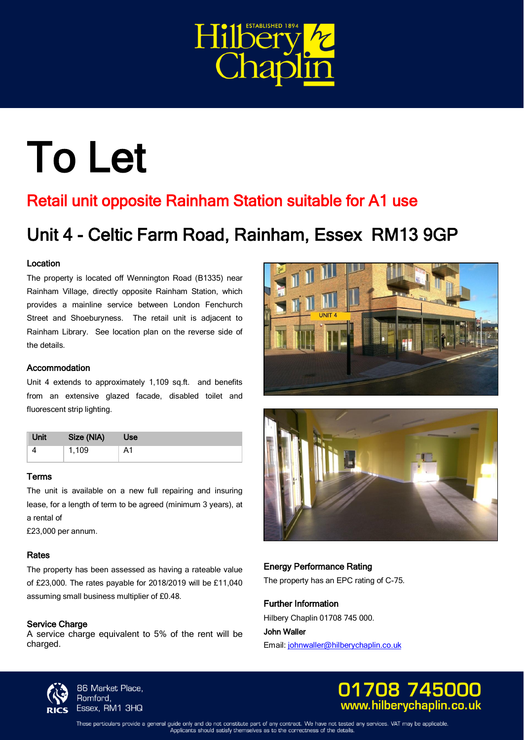

# To Let

### Retail unit opposite Rainham Station suitable for A1 use

## Unit 4 - Celtic Farm Road, Rainham, Essex RM13 9GP

#### Location

 The property is located off Wennington Road (B1335) near Rainham Village, directly opposite Rainham Station, which provides a mainline service between London Fenchurch Street and Shoeburyness. The retail unit is adjacent to Rainham Library. See location plan on the reverse side of the details.

#### Accommodation

 Unit 4 extends to approximately 1,109 sq.ft. and benefits from an extensive glazed facade, disabled toilet and fluorescent strip lighting.

| Unit  | Size (NIA) | Use |                                                            |  |
|-------|------------|-----|------------------------------------------------------------|--|
|       | 1,109      | A1  |                                                            |  |
| Terms |            |     |                                                            |  |
|       |            |     | The unit is available on a new full repairing and insuring |  |

#### Terms

 The unit is available on a new full repairing and insuring lease, for a length of term to be agreed (minimum 3 years), at a rental of

£23,000 per annum.

#### Rates

 The property has been assessed as having a rateable value of £23,000. The rates payable for 2018/2019 will be £11,040 assuming small business multiplier of £0.48.

#### Service Charge

 A service charge equivalent to 5% of the rent will be charged.





#### Energy Performance Rating The property has an EPC rating of C-75.

Further Information

Hilbery Chaplin 01708 745 000.

John Waller Email[: johnwaller@hilberychaplin.co.uk](mailto:johnwaller@hilberychaplin.co.uk) 



**86 Market Place, Romford, Essex, RM1 3HQ** 



These particulars provide a general guide only and do not constitute part of any contract. We have not tested any services. VAT may be applicable<br>Applicants should satisfy themselves as to the correctness of the details.